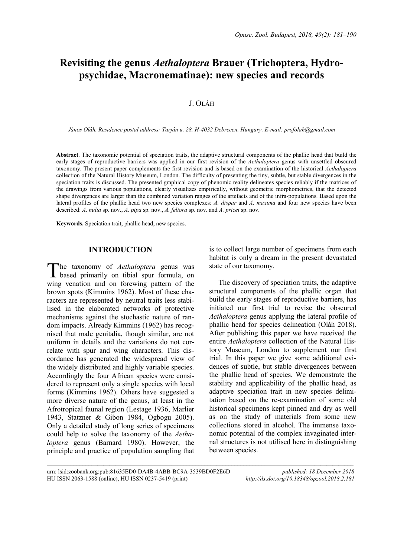# **Revisiting the genus** *Aethaloptera* **Brauer (Trichoptera, Hydropsychidae, Macronematinae): new species and records**

## J. OLÁH

*János Oláh, Residence postal address: Tarján u. 28, H-4032 Debrecen, Hungary. E-mail: profolah@gmail.com*

**Abstract**. The taxonomic potential of speciation traits, the adaptive structural components of the phallic head that build the early stages of reproductive barriers was applied in our first revision of the *Aethaloptera* genus with unsettled obscured taxonomy. The present paper complements the first revision and is based on the examination of the historical *Aethaloptera* collection of the Natural History Museum, London. The difficulty of presenting the tiny, subtle, but stable divergences in the speciation traits is discussed. The presented graphical copy of phenomic reality delineates species reliably if the matrices of the drawings from various populations, clearly visualizes empirically, without geometric morphometrics, that the detected shape divergences are larger than the combined variation ranges of the artefacts and of the infra-populations. Based upon the lateral profiles of the phallic head two new species complexes: *A. dispar* and *A. maxima* and four new species have been described: *A. nulta* sp. nov., *A. pipa* sp. nov., *A. feltora* sp. nov. and *A. pricei* sp. nov.

**Keywords.** Speciation trait, phallic head, new species.

## **INTRODUCTION**

he taxonomy of *Aethaloptera* genus was based primarily on tibial spur formula, on wing venation and on forewing pattern of the brown spots (Kimmins 1962). Most of these characters are represented by neutral traits less stabilised in the elaborated networks of protective mechanisms against the stochastic nature of random impacts. Already Kimmins (1962) has recognised that male genitalia, though similar, are not uniform in details and the variations do not correlate with spur and wing characters. This discordance has generated the widespread view of the widely distributed and highly variable species. Accordingly the four African species were considered to represent only a single species with local forms (Kimmins 1962). Others have suggested a more diverse nature of the genus, at least in the Afrotropical faunal region (Lestage 1936, Marlier 1943, Statzner & Gibon 1984, Ogbogu 2005). Only a detailed study of long series of specimens could help to solve the taxonomy of the *Aethaloptera* genus (Barnard 1980). However, the principle and practice of population sampling that T

is to collect large number of specimens from each habitat is only a dream in the present devastated state of our taxonomy.

The discovery of speciation traits, the adaptive structural components of the phallic organ that build the early stages of reproductive barriers, has initiated our first trial to revise the obscured *Aethaloptera* genus applying the lateral profile of phallic head for species delineation (Oláh 2018). After publishing this paper we have received the entire *Aethaloptera* collection of the Natural History Museum, London to supplement our first trial. In this paper we give some additional evidences of subtle, but stable divergences between the phallic head of species. We demonstrate the stability and applicability of the phallic head, as adaptive speciation trait in new species delimitation based on the re-examination of some old historical specimens kept pinned and dry as well as on the study of materials from some new collections stored in alcohol. The immense taxonomic potential of the complex invaginated internal structures is not utilised here in distinguishing between species.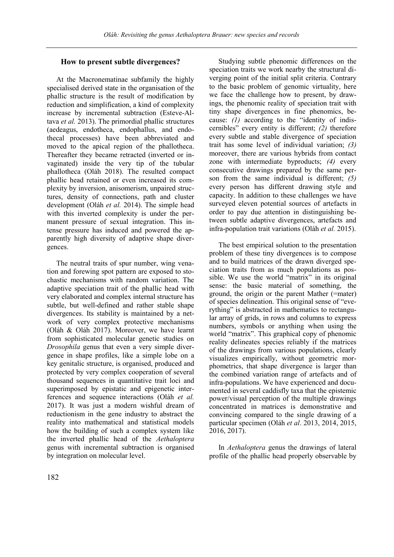## **How to present subtle divergences?**

At the Macronematinae subfamily the highly specialised derived state in the organisation of the phallic structure is the result of modification by reduction and simplification, a kind of complexity increase by incremental subtraction (Esteve-Altava *et al.* 2013). The primordial phallic structures (aedeagus, endotheca, endophallus, and endothecal processes) have been abbreviated and moved to the apical region of the phallotheca. Thereafter they became retracted (inverted or invaginated) inside the very tip of the tubular phallotheca (Oláh 2018). The resulted compact phallic head retained or even increased its complexity by inversion, anisomerism, unpaired structures, density of connections, path and cluster development (Oláh *et al.* 2014). The simple head with this inverted complexity is under the permanent pressure of sexual integration. This intense pressure has induced and powered the apparently high diversity of adaptive shape divergences.

The neutral traits of spur number, wing venation and forewing spot pattern are exposed to stochastic mechanisms with random variation. The adaptive speciation trait of the phallic head with very elaborated and complex internal structure has subtle, but well-defined and rather stable shape divergences. Its stability is maintained by a network of very complex protective mechanisms (Oláh & Oláh 2017). Moreover, we have learnt from sophisticated molecular genetic studies on *Drosophila* genus that even a very simple divergence in shape profiles, like a simple lobe on a key genitalic structure, is organised, produced and protected by very complex cooperation of several thousand sequences in quantitative trait loci and superimposed by epistatic and epigenetic interferences and sequence interactions (Oláh *et al.* 2017). It was just a modern wishful dream of reductionism in the gene industry to abstract the reality into mathematical and statistical models how the building of such a complex system like the inverted phallic head of the *Aethaloptera* genus with incremental subtraction is organised by integration on molecular level.

Studying subtle phenomic differences on the speciation traits we work nearby the structural diverging point of the initial split criteria. Contrary to the basic problem of genomic virtuality, here we face the challenge how to present, by drawings, the phenomic reality of speciation trait with tiny shape divergences in fine phenomics, because: *(1)* according to the "identity of indiscernibles" every entity is different; *(2)* therefore every subtle and stable divergence of speciation trait has some level of individual variation; *(3)* moreover, there are various hybrids from contact zone with intermediate byproducts; *(4)* every consecutive drawings prepared by the same person from the same individual is different; *(5)* every person has different drawing style and capacity. In addition to these challenges we have surveyed eleven potential sources of artefacts in order to pay due attention in distinguishing between subtle adaptive divergences, artefacts and infra-population trait variations (Oláh *et al.* 2015).

The best empirical solution to the presentation problem of these tiny divergences is to compose and to build matrices of the drawn diverged speciation traits from as much populations as possible. We use the world "matrix" in its original sense: the basic material of something, the ground, the origin or the parent Mather (=mater) of species delineation. This original sense of "everything" is abstracted in mathematics to rectangular array of grids, in rows and columns to express numbers, symbols or anything when using the world "matrix". This graphical copy of phenomic reality delineates species reliably if the matrices of the drawings from various populations, clearly visualizes empirically, without geometric morphometrics, that shape divergence is larger than the combined variation range of artefacts and of infra-populations. We have experienced and documented in several caddisfly taxa that the epistemic power/visual perception of the multiple drawings concentrated in matrices is demonstrative and convincing compared to the single drawing of a particular specimen (Oláh *et al*. 2013, 2014, 2015, 2016, 2017).

In *Aethaloptera* genus the drawings of lateral profile of the phallic head properly observable by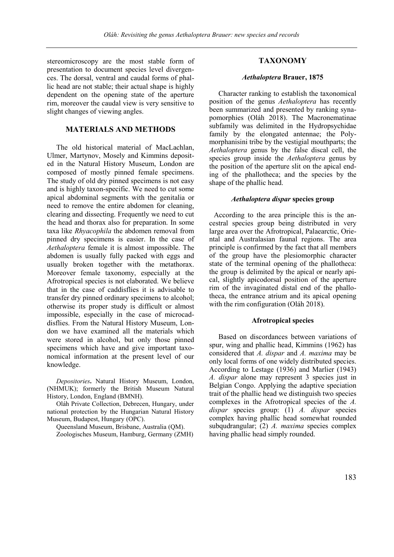stereomicroscopy are the most stable form of presentation to document species level divergences. The dorsal, ventral and caudal forms of phallic head are not stable; their actual shape is highly dependent on the opening state of the aperture rim, moreover the caudal view is very sensitive to slight changes of viewing angles.

## **MATERIALS AND METHODS**

The old historical material of MacLachlan, Ulmer, Martynov, Mosely and Kimmins deposited in the Natural History Museum, London are composed of mostly pinned female specimens. The study of old dry pinned specimens is not easy and is highly taxon-specific. We need to cut some apical abdominal segments with the genitalia or need to remove the entire abdomen for cleaning, clearing and dissecting. Frequently we need to cut the head and thorax also for preparation. In some taxa like *Rhyacophila* the abdomen removal from pinned dry specimens is easier. In the case of *Aethaloptera* female it is almost impossible. The abdomen is usually fully packed with eggs and usually broken together with the metathorax. Moreover female taxonomy, especially at the Afrotropical species is not elaborated. We believe that in the case of caddisflies it is advisable to transfer dry pinned ordinary specimens to alcohol; otherwise its proper study is difficult or almost impossible, especially in the case of microcaddisflies. From the Natural History Museum, London we have examined all the materials which were stored in alcohol, but only those pinned specimens which have and give important taxonomical information at the present level of our knowledge.

*Depositories***.** Natural History Museum, London, (NHMUK); formerly the British Museum Natural History, London, England (BMNH).

Oláh Private Collection, Debrecen, Hungary, under national protection by the Hungarian Natural History Museum, Budapest, Hungary (OPC).

Queensland Museum, Brisbane, Australia (QM). Zoologisches Museum, Hamburg, Germany (ZMH)

## **TAXONOMY**

#### *Aethaloptera* **Brauer, 1875**

Character ranking to establish the taxonomical position of the genus *Aethaloptera* has recently been summarized and presented by ranking synapomorphies (Oláh 2018). The Macronematinae subfamily was delimited in the Hydropsychidae family by the elongated antennae; the Polymorphanisini tribe by the vestigial mouthparts; the *Aethaloptera* genus by the false discal cell, the species group inside the *Aethaloptera* genus by the position of the aperture slit on the apical ending of the phallotheca; and the species by the shape of the phallic head.

## *Aethaloptera dispar* **species group**

According to the area principle this is the ancestral species group being distributed in very large area over the Afrotropical, Palaearctic, Oriental and Australasian faunal regions. The area principle is confirmed by the fact that all members of the group have the plesiomorphic character state of the terminal opening of the phallotheca: the group is delimited by the apical or nearly apical, slightly apicodorsal position of the aperture rim of the invaginated distal end of the phallotheca, the entrance atrium and its apical opening with the rim configuration (Oláh 2018).

#### **Afrotropical species**

Based on discordances between variations of spur, wing and phallic head, Kimmins (1962) has considered that *A. dispar* and *A. maxima* may be only local forms of one widely distributed species. According to Lestage (1936) and Marlier (1943) *A. dispar* alone may represent 3 species just in Belgian Congo. Applying the adaptive speciation trait of the phallic head we distinguish two species complexes in the Afrotropical species of the *A. dispar* species group: (1) *A. dispar* species complex having phallic head somewhat rounded subqudrangular; (2) *A. maxima* species complex having phallic head simply rounded.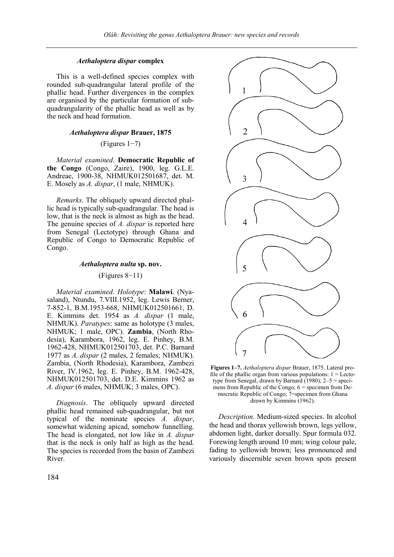## *Aethaloptera dispar* **complex**

This is a well-defined species complex with rounded sub-quadrangular lateral profile of the phallic head. Further divergences in the complex are organised by the particular formation of subquadrangularity of the phallic head as well as by the neck and head formation.

#### *Aethaloptera dispar* **Brauer, 1875**

## (Figures 1−7)

*Material examined*. **Democratic Republic of the Congo** (Congo, Zaire), 1900, leg. G.L.E. Andreae, 1900-38, NHMUK012501687, det. M. E. Mosely as *A. dispar*, (1 male, NHMUK).

*Remarks*. The obliquely upward directed phallic head is typically sub-quadrangular. The head is low, that is the neck is almost as high as the head. The genuine species of *A. dispar* is reported here from Senegal (Lectotype) through Ghana and Republic of Congo to Democratic Republic of Congo.

## *Aethaloptera nulta* **sp. nov.**

#### (Figures 8−11)

*Material examined*. *Holotype*: **Malawi**. (Nyasaland), Ntundu, 7.VIII.1952, leg. Lewis Berner, 7-852-1, B.M.1953-668, NHMUK012501661, D. E. Kimmins det. 1954 as *A. dispar* (1 male, NHMUK). *Paratypes*: same as holotype (3 males, NHMUK; 1 male, OPC). **Zambia**, (North Rhodesia), Karambora, 1962, leg. E. Pinhey, B.M. 1962-428, NHMUK012501703, det. P.C. Barnard 1977 as *A. dispar* (2 males, 2 females; NHMUK). Zambia, (North Rhodesia), Karambora, Zambezi River, IV.1962, leg. E. Pinhey, B.M. 1962-428, NHMUK012501703, det. D.E. Kimmins 1962 as *A. dispar* (6 males, NHMUK; 3 males, OPC).

*Diagnosis*. The obliquely upward directed phallic head remained sub-quadrangular, but not typical of the nominate species *A. dispar*, somewhat widening apicad, somehow funnelling. The head is elongated, not low like in *A. dispar* that is the neck is only half as high as the head. The species is recorded from the basin of Zambezi River.



**Figures 1–7.** *Aethaloptera dispar* Brauer, 1875. Lateral profile of the phallic organ from various populations:  $1 =$  Lectotype from Senegal, drawn by Barnard  $(1980)$ ;  $2-5$  = specimens from Republic of the Congo;  $6 =$  specimen from Democratic Republic of Congo; 7=specimen from Ghana drawn by Kimmins (1962).

*Description.* Medium-sized species. In alcohol the head and thorax yellowish brown, legs yellow, abdomen light, darker dorsally. Spur formula 032. Forewing length around 10 mm; wing colour pale, fading to yellowish brown; less pronounced and variously discernible seven brown spots present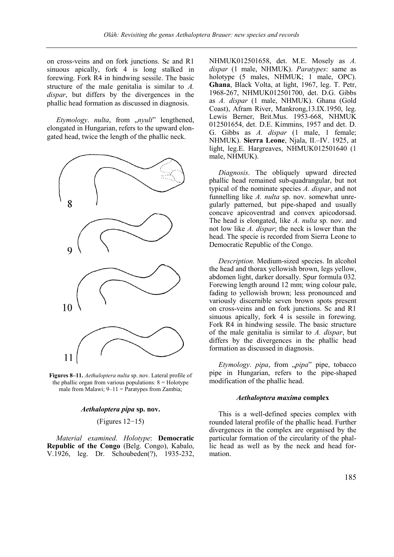on cross-veins and on fork junctions. Sc and R1 sinuous apically, fork 4 is long stalked in forewing. Fork R4 in hindwing sessile. The basic structure of the male genitalia is similar to *A. dispar*, but differs by the divergences in the phallic head formation as discussed in diagnosis.

*Etymology. nulta, from "nyult*" lengthened, elongated in Hungarian, refers to the upward elongated head, twice the length of the phallic neck.



**Figures 8–11.** *Aethaloptera nulta* sp. nov. Lateral profile of the phallic organ from various populations:  $8 =$  Holotype male from Malawi;  $9-11$  = Paratypes from Zambia;

## *Aethaloptera pipa* **sp. nov.**

#### (Figures 12−15)

*Material examined*. *Holotype*: **Democratic Republic of the Congo** (Belg. Congo), Kabalo, V.1926, leg. Dr. Schoubeden(?), 1935-232, NHMUK012501658, det. M.E. Mosely as *A. dispar* (1 male, NHMUK). *Paratypes*: same as holotype (5 males, NHMUK; 1 male, OPC). **Ghana**, Black Volta, at light, 1967, leg. T. Petr, 1968-267, NHMUK012501700, det. D.G. Gibbs as *A. dispar* (1 male, NHMUK). Ghana (Gold Coast), Afram River, Mankrong,13.IX.1950, leg. Lewis Berner, Brit.Mus. 1953-668, NHMUK 012501654, det. D.E. Kimmins, 1957 and det. D. G. Gibbs as *A. dispar* (1 male, 1 female; NHMUK). **Sierra Leone**, Njala, II.–IV. 1925, at light, leg.E. Hargreaves, NHMUK012501640 (1 male, NHMUK).

*Diagnosis*. The obliquely upward directed phallic head remained sub-quadrangular, but not typical of the nominate species *A. dispar*, and not funnelling like *A. nulta* sp. nov. somewhat unregularly patterned, but pipe-shaped and usually concave apicoventrad and convex apicodorsad. The head is elongated, like *A. nulta* sp. nov. and not low like *A. dispar*; the neck is lower than the head. The specie is recorded from Sierra Leone to Democratic Republic of the Congo.

*Description.* Medium-sized species. In alcohol the head and thorax yellowish brown, legs yellow, abdomen light, darker dorsally. Spur formula 032. Forewing length around 12 mm; wing colour pale, fading to yellowish brown; less pronounced and variously discernible seven brown spots present on cross-veins and on fork junctions. Sc and R1 sinuous apically, fork 4 is sessile in forewing. Fork R4 in hindwing sessile. The basic structure of the male genitalia is similar to *A. dispar*, but differs by the divergences in the phallic head formation as discussed in diagnosis.

*Etymology. pipa*, from "*pipa*" pipe, tobacco pipe in Hungarian, refers to the pipe-shaped modification of the phallic head.

## *Aethaloptera maxima* **complex**

This is a well-defined species complex with rounded lateral profile of the phallic head. Further divergences in the complex are organised by the particular formation of the circularity of the phallic head as well as by the neck and head formation.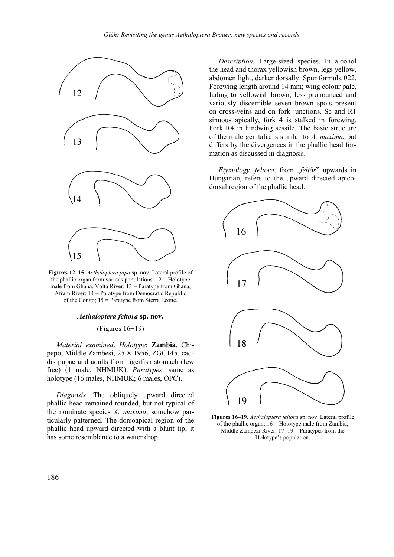

**Figures 12–15**. *Aethaloptera pipa* sp. nov. Lateral profile of the phallic organ from various populations:  $12 =$  Holotype male from Ghana, Volta River; 13 = Paratype from Ghana, Afram River; 14 = Paratype from Democratic Republic of the Congo; 15 = Paratype from Sierra Leone.

## *Aethaloptera feltora* **sp. nov.**

(Figures 16−19)

*Material examined*. *Holotype*: **Zambia**, Chipepo, Middle Zambesi, 25.X.1956, ZGC145, caddis pupae and adults from tigerfish stomach (few free) (1 male, NHMUK). *Paratypes*: same as holotype (16 males, NHMUK; 6 males, OPC).

*Diagnosis*. The obliquely upward directed phallic head remained rounded, but not typical of the nominate species *A. maxima*, somehow particularly patterned. The dorsoapical region of the phallic head upward directed with a blunt tip; it has some resemblance to a water drop.

*Description.* Large-sized species. In alcohol the head and thorax yellowish brown, legs yellow, abdomen light, darker dorsally. Spur formula 022. Forewing length around 14 mm; wing colour pale, fading to yellowish brown; less pronounced and variously discernible seven brown spots present on cross-veins and on fork junctions. Sc and R1 sinuous apically, fork 4 is stalked in forewing. Fork R4 in hindwing sessile. The basic structure of the male genitalia is similar to *A. maxima*, but differs by the divergences in the phallic head formation as discussed in diagnosis.

*Etymology. feltora, from "feltör*" upwards in Hungarian, refers to the upward directed apicodorsal region of the phallic head.



**Figures 16–19.** *Aethaloptera feltora* sp. nov. Lateral profile of the phallic organ:  $16 =$  Holotype male from Zambia, Middle Zambezi River;  $17-19 =$  Paratypes from the Holotype's population.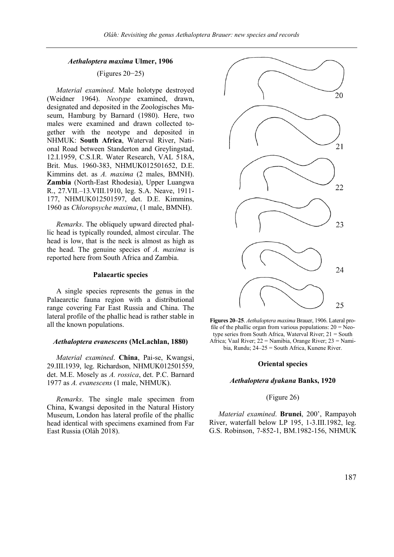## *Aethaloptera maxima* **Ulmer, 1906**

## (Figures 20−25)

*Material examined*. Male holotype destroyed (Weidner 1964). *Neotype* examined, drawn, designated and deposited in the Zoologisches Museum, Hamburg by Barnard (1980). Here, two males were examined and drawn collected together with the neotype and deposited in NHMUK: **South Africa**, Waterval River, National Road between Standerton and Greylingstad, 12.I.1959, C.S.I.R. Water Research, VAL 518A, Brit. Mus. 1960-383, NHMUK012501652, D.E. Kimmins det. as *A. maxima* (2 males, BMNH). **Zambia** (North-East Rhodesia), Upper Luangwa R., 27.VII.–13.VIII.1910, leg. S.A. Neave, 1911- 177, NHMUK012501597, det. D.E. Kimmins, 1960 as *Chloropsyche maxima*, (1 male, BMNH).

*Remarks*. The obliquely upward directed phallic head is typically rounded, almost circular. The head is low, that is the neck is almost as high as the head. The genuine species of *A. maxima* is reported here from South Africa and Zambia.

#### **Palaeartic species**

A single species represents the genus in the Palaearctic fauna region with a distributional range covering Far East Russia and China. The lateral profile of the phallic head is rather stable in all the known populations.

#### *Aethaloptera evanescens* **(McLachlan, 1880)**

*Material examined*. **China**, Pai-se, Kwangsi, 29.III.1939, leg. Richardson, NHMUK012501559, det. M.E. Mosely as *A. rossica*, det. P.C. Barnard 1977 as *A. evanescens* (1 male, NHMUK).

*Remarks*. The single male specimen from China, Kwangsi deposited in the Natural History Museum, London has lateral profile of the phallic head identical with specimens examined from Far East Russia (Oláh 2018).



**Figures 20–25**. *Aethaloptera maxima* Brauer, 1906. Lateral profile of the phallic organ from various populations:  $20 = Neo$ type series from South Africa, Waterval River; 21 = South Africa; Vaal River; 22 = Namibia, Orange River; 23 = Namibia, Rundu; 24–25 = South Africa, Kunene River.

#### **Oriental species**

#### *Aethaloptera dyakana* **Banks, 1920**

#### (Figure 26)

*Material examined*. **Brunei**, 200', Rampayoh River, waterfall below LP 195, 1-3.III.1982, leg. G.S. Robinson, 7-852-1, BM.1982-156, NHMUK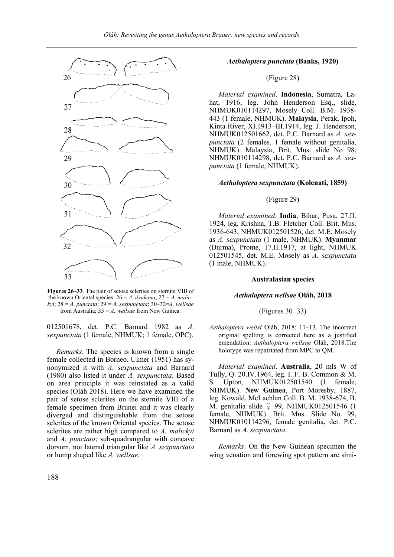

**Figures 26–33**. The pair of setose sclerites on sternite VIII of the known Oriental species: 26 = *A*. *dyakana*; 27 = *A. malickyi*; 28 = *A. punctata*; 29 = *A. sexpunctata*; 30–32=*A. wellsae* from Australia; 33 = *A. wellsae* from New Guinea.

012501678, det. P.C. Barnard 1982 as *A. sexpunctata* (1 female, NHMUK; 1 female, OPC).

*Remarks*. The species is known from a single female collected in Borneo. Ulmer (1951) has synonymized it with *A. sexpunctata* and Barnard (1980) also listed it under *A. sexpunctata*. Based on area principle it was reinstated as a valid species (Oláh 2018). Here we have examined the pair of setose sclerites on the sternite VIII of a female specimen from Brunei and it was clearly diverged and distinguishable from the setose sclerites of the known Oriental species. The setose sclerites are rather high compared to *A. malickyi* and *A. punctata*; sub-quadrangular with concave dorsum, not laterad triangular like *A. sexpunctata* or hump shaped like *A. wellsae*.

## *Aethaloptera punctata* **(Banks, 1920)**

## (Figure 28)

*Material examined*. **Indonesia**, Sumatra, Lahat, 1916, leg. John Henderson Esq., slide, NHMUK010114297, Mosely Coll. B.M. 1938- 443 (1 female, NHMUK). **Malaysia**, Perak, Ipoh, Kinta River, XI.1913–III.1914, leg. J. Henderson, NHMUK012501662, det. P.C. Barnard as *A. sexpunctata* (2 females, 1 female without genitalia, NHMUK). Malaysia, Brit. Mus. slide No 98, NHMUK010114298, det. P.C. Barnard as *A. sexpunctata* (1 female, NHMUK).

#### *Aethaloptera sexpunctata* **(Kolenati, 1859)**

## (Figure 29)

*Material examined*. **India**, Bihar, Pusa, 27.II. 1924, leg. Krishna, T.B. Fletcher Coll. Brit. Mus. 1936-643, NHMUK012501526, det. M.E. Mosely as *A. sexpunctata* (1 male, NHMUK). **Myanmar** (Burma), Prome, 17.II.1917, at light, NHMUK 012501545, det. M.E. Mosely as *A. sexpunctata* (1 male, NHMUK).

## **Australasian species**

#### *Aethaloptera wellsae* **Oláh, 2018**

#### (Figures 30−33)

*Aethaloptera wellsi* Oláh, 2018: 11–13. The incorrect original spelling is corrected here as a justified emendation: *Aethaloptera wellsae* Oláh, 2018.The holotype was repatriated from MPC to QM.

*Material examined*. **Australia**, 20 mls W of Tully, Q. 20.IV.1964, leg. I. F. B. Common & M. S. Upton, NHMUK012501540 (1 female, NHMUK). **New Guinea**, Port Moresby, 1887, leg. Kowald, McLachlan Coll. B. M. 1938-674, B. M. genitalia slide  $\varphi$  99, NHMUK012501546 (1 female, NHMUK). Brit. Mus. Slide No. 99, NHMUK010114296, female genitalia, det. P.C. Barnard as *A. sexpunctata*.

*Remarks*. On the New Guinean specimen the wing venation and forewing spot pattern are simi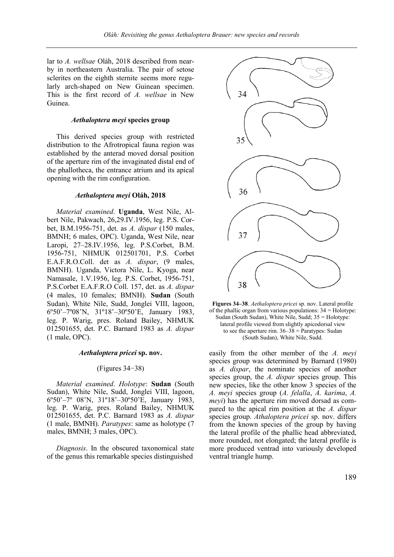lar to *A. wellsae* Oláh, 2018 described from nearby in northeastern Australia. The pair of setose sclerites on the eighth sternite seems more regularly arch-shaped on New Guinean specimen. This is the first record of *A. wellsae* in New Guinea.

## *Aethaloptera meyi* **species group**

This derived species group with restricted distribution to the Afrotropical fauna region was established by the anterad moved dorsal position of the aperture rim of the invaginated distal end of the phallotheca, the entrance atrium and its apical opening with the rim configuration.

#### *Aethaloptera meyi* **Oláh, 2018**

*Material examined*. **Uganda**, West Nile, Albert Nile, Pakwach, 26,29.IV.1956, leg. P.S. Corbet, B.M.1956-751, det. as *A. dispar* (150 males, BMNH; 6 males, OPC). Uganda, West Nile, near Laropi, 27–28.IV.1956, leg. P.S.Corbet, B.M. 1956-751, NHMUK 012501701, P.S. Corbet E.A.F.R.O.Coll. det as *A. dispar*, (9 males, BMNH). Uganda, Victora Nile, L. Kyoga, near Namasale, 1.V.1956, leg. P.S. Corbet, 1956-751, P.S.Corbet E.A.F.R.O Coll. 157, det. as *A. dispar* (4 males, 10 females; BMNH). **Sudan** (South Sudan), White Nile, Sudd, Jonglei VIII, lagoon, 6º50'–7º08'N, 31º18'–30º50'E, January 1983, leg. P. Warig, pres. Roland Bailey, NHMUK 012501655, det. P.C. Barnard 1983 as *A. dispar* (1 male, OPC).

#### *Aethaloptera pricei* **sp. nov.**

## (Figures 34−38)

*Material examined*. *Holotype*: **Sudan** (South Sudan), White Nile, Sudd, Jonglei VIII, lagoon, 6º50'–7º 08'N, 31º18'–30º50'E, January 1983, leg. P. Warig, pres. Roland Bailey, NHMUK 012501655, det. P.C. Barnard 1983 as *A. dispar* (1 male, BMNH). *Paratypes*: same as holotype (7 males, BMNH; 3 males, OPC).

*Diagnosis*. In the obscured taxonomical state of the genus this remarkable species distinguished





easily from the other member of the *A. meyi* species group was determined by Barnard (1980) as *A. dispar*, the nominate species of another species group, the *A. dispar* species group. This new species, like the other know 3 species of the *A. meyi* species group (*A. felalla*, *A. karima*, *A. meyi*) has the aperture rim moved dorsad as compared to the apical rim position at the *A. dispar* species group. *Athaloptera pricei* sp. nov. differs from the known species of the group by having the lateral profile of the phallic head abbreviated, more rounded, not elongated; the lateral profile is more produced ventrad into variously developed ventral triangle hump.